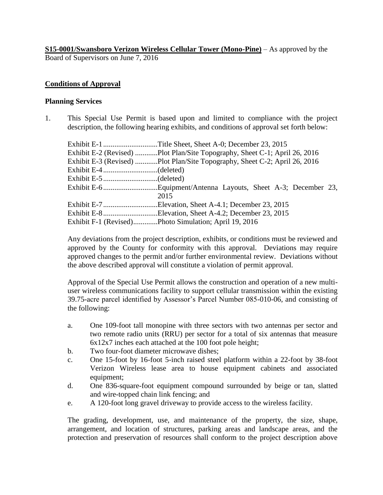**S15-0001/Swansboro Verizon Wireless Cellular Tower (Mono-Pine)** – As approved by the Board of Supervisors on June 7, 2016

### **Conditions of Approval**

#### **Planning Services**

1. This Special Use Permit is based upon and limited to compliance with the project description, the following hearing exhibits, and conditions of approval set forth below:

| Exhibit E-1 Title Sheet, Sheet A-0; December 23, 2015                      |
|----------------------------------------------------------------------------|
| Exhibit E-2 (Revised) Plot Plan/Site Topography, Sheet C-1; April 26, 2016 |
| Exhibit E-3 (Revised) Plot Plan/Site Topography, Sheet C-2; April 26, 2016 |
|                                                                            |
|                                                                            |
|                                                                            |
| 2015                                                                       |
| Exhibit E-7Elevation, Sheet A-4.1; December 23, 2015                       |
| Exhibit E-8Elevation, Sheet A-4.2; December 23, 2015                       |
| Exhibit F-1 (Revised)Photo Simulation; April 19, 2016                      |

Any deviations from the project description, exhibits, or conditions must be reviewed and approved by the County for conformity with this approval. Deviations may require approved changes to the permit and/or further environmental review. Deviations without the above described approval will constitute a violation of permit approval.

Approval of the Special Use Permit allows the construction and operation of a new multiuser wireless communications facility to support cellular transmission within the existing 39.75-acre parcel identified by Assessor's Parcel Number 085-010-06, and consisting of the following:

- a. One 109-foot tall monopine with three sectors with two antennas per sector and two remote radio units (RRU) per sector for a total of six antennas that measure 6x12x7 inches each attached at the 100 foot pole height;
- b. Two four-foot diameter microwave dishes;
- c. One 15-foot by 16-foot 5-inch raised steel platform within a 22-foot by 38-foot Verizon Wireless lease area to house equipment cabinets and associated equipment;
- d. One 836-square-foot equipment compound surrounded by beige or tan, slatted and wire-topped chain link fencing; and
- e. A 120-foot long gravel driveway to provide access to the wireless facility.

The grading, development, use, and maintenance of the property, the size, shape, arrangement, and location of structures, parking areas and landscape areas, and the protection and preservation of resources shall conform to the project description above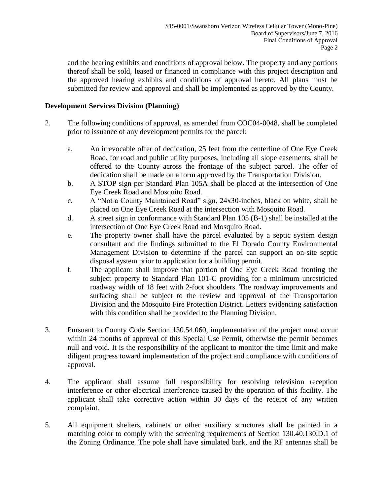and the hearing exhibits and conditions of approval below. The property and any portions thereof shall be sold, leased or financed in compliance with this project description and the approved hearing exhibits and conditions of approval hereto. All plans must be submitted for review and approval and shall be implemented as approved by the County.

### **Development Services Division (Planning)**

- 2. The following conditions of approval, as amended from COC04-0048, shall be completed prior to issuance of any development permits for the parcel:
	- a. An irrevocable offer of dedication, 25 feet from the centerline of One Eye Creek Road, for road and public utility purposes, including all slope easements, shall be offered to the County across the frontage of the subject parcel. The offer of dedication shall be made on a form approved by the Transportation Division.
	- b. A STOP sign per Standard Plan 105A shall be placed at the intersection of One Eye Creek Road and Mosquito Road.
	- c. A "Not a County Maintained Road" sign, 24x30-inches, black on white, shall be placed on One Eye Creek Road at the intersection with Mosquito Road.
	- d. A street sign in conformance with Standard Plan 105 (B-1) shall be installed at the intersection of One Eye Creek Road and Mosquito Road.
	- e. The property owner shall have the parcel evaluated by a septic system design consultant and the findings submitted to the El Dorado County Environmental Management Division to determine if the parcel can support an on-site septic disposal system prior to application for a building permit.
	- f. The applicant shall improve that portion of One Eye Creek Road fronting the subject property to Standard Plan 101-C providing for a minimum unrestricted roadway width of 18 feet with 2-foot shoulders. The roadway improvements and surfacing shall be subject to the review and approval of the Transportation Division and the Mosquito Fire Protection District. Letters evidencing satisfaction with this condition shall be provided to the Planning Division.
- 3. Pursuant to County Code Section 130.54.060, implementation of the project must occur within 24 months of approval of this Special Use Permit, otherwise the permit becomes null and void. It is the responsibility of the applicant to monitor the time limit and make diligent progress toward implementation of the project and compliance with conditions of approval.
- 4. The applicant shall assume full responsibility for resolving television reception interference or other electrical interference caused by the operation of this facility. The applicant shall take corrective action within 30 days of the receipt of any written complaint.
- 5. All equipment shelters, cabinets or other auxiliary structures shall be painted in a matching color to comply with the screening requirements of Section 130.40.130.D.1 of the Zoning Ordinance. The pole shall have simulated bark, and the RF antennas shall be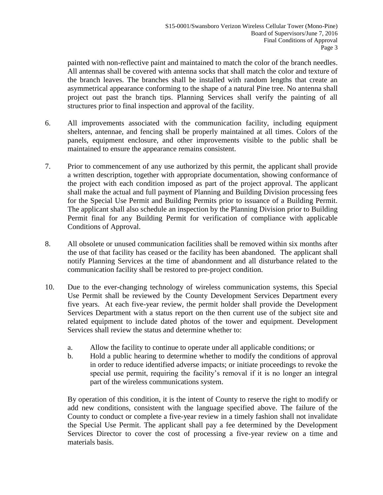painted with non-reflective paint and maintained to match the color of the branch needles. All antennas shall be covered with antenna socks that shall match the color and texture of the branch leaves. The branches shall be installed with random lengths that create an asymmetrical appearance conforming to the shape of a natural Pine tree. No antenna shall project out past the branch tips. Planning Services shall verify the painting of all structures prior to final inspection and approval of the facility.

- 6. All improvements associated with the communication facility, including equipment shelters, antennae, and fencing shall be properly maintained at all times. Colors of the panels, equipment enclosure, and other improvements visible to the public shall be maintained to ensure the appearance remains consistent.
- 7. Prior to commencement of any use authorized by this permit, the applicant shall provide a written description, together with appropriate documentation, showing conformance of the project with each condition imposed as part of the project approval. The applicant shall make the actual and full payment of Planning and Building Division processing fees for the Special Use Permit and Building Permits prior to issuance of a Building Permit. The applicant shall also schedule an inspection by the Planning Division prior to Building Permit final for any Building Permit for verification of compliance with applicable Conditions of Approval.
- 8. All obsolete or unused communication facilities shall be removed within six months after the use of that facility has ceased or the facility has been abandoned. The applicant shall notify Planning Services at the time of abandonment and all disturbance related to the communication facility shall be restored to pre-project condition.
- 10. Due to the ever-changing technology of wireless communication systems, this Special Use Permit shall be reviewed by the County Development Services Department every five years. At each five-year review, the permit holder shall provide the Development Services Department with a status report on the then current use of the subject site and related equipment to include dated photos of the tower and equipment. Development Services shall review the status and determine whether to:
	- a. Allow the facility to continue to operate under all applicable conditions; or
	- b. Hold a public hearing to determine whether to modify the conditions of approval in order to reduce identified adverse impacts; or initiate proceedings to revoke the special use permit, requiring the facility's removal if it is no longer an integral part of the wireless communications system.

By operation of this condition, it is the intent of County to reserve the right to modify or add new conditions, consistent with the language specified above. The failure of the County to conduct or complete a five-year review in a timely fashion shall not invalidate the Special Use Permit. The applicant shall pay a fee determined by the Development Services Director to cover the cost of processing a five-year review on a time and materials basis.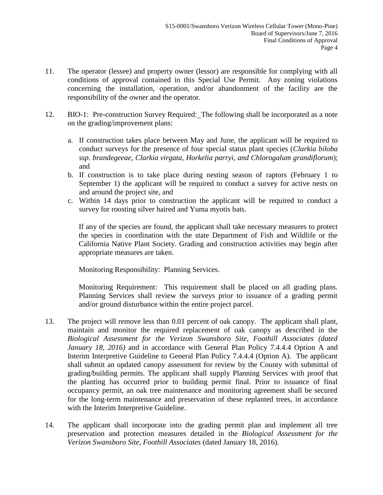- 11. The operator (lessee) and property owner (lessor) are responsible for complying with all conditions of approval contained in this Special Use Permit. Any zoning violations concerning the installation, operation, and/or abandonment of the facility are the responsibility of the owner and the operator.
- 12. BIO-1: Pre-construction Survey Required: The following shall be incorporated as a note on the grading/improvement plans:
	- a. If construction takes place between May and June, the applicant will be required to conduct surveys for the presence of four special status plant species (*Clarkia biloba ssp. brandegeeae, Clarkia virgata, Horkelia parryi, and Chlorogalum grandiflorum*); and
	- b. If construction is to take place during nesting season of raptors (February 1 to September 1) the applicant will be required to conduct a survey for active nests on and around the project site, and
	- c. Within 14 days prior to construction the applicant will be required to conduct a survey for roosting silver haired and Yuma myotis bats.

If any of the species are found, the applicant shall take necessary measures to protect the species in coordination with the state Department of Fish and Wildlife or the California Native Plant Society. Grading and construction activities may begin after appropriate measures are taken.

Monitoring Responsibility: Planning Services.

Monitoring Requirement: This requirement shall be placed on all grading plans. Planning Services shall review the surveys prior to issuance of a grading permit and/or ground disturbance within the entire project parcel.

- 13. The project will remove less than 0.01 percent of oak canopy. The applicant shall plant, maintain and monitor the required replacement of oak canopy as described in the *Biological Assessment for the Verizon Swansboro Site, Foothill Associates (dated January 18, 2016)* and in accordance with General Plan Policy 7.4.4.4 Option A and Interim Interpretive Guideline to General Plan Policy 7.4.4.4 (Option A). The applicant shall submit an updated canopy assessment for review by the County with submittal of grading/building permits. The applicant shall supply Planning Services with proof that the planting has occurred prior to building permit final. Prior to issuance of final occupancy permit, an oak tree maintenance and monitoring agreement shall be secured for the long-term maintenance and preservation of these replanted trees, in accordance with the Interim Interpretive Guideline.
- 14. The applicant shall incorporate into the grading permit plan and implement all tree preservation and protection measures detailed in the *Biological Assessment for the Verizon Swansboro Site, Foothill Associates* (dated January 18, 2016).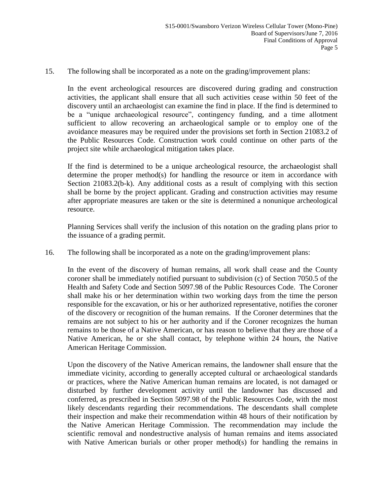15. The following shall be incorporated as a note on the grading/improvement plans:

In the event archeological resources are discovered during grading and construction activities, the applicant shall ensure that all such activities cease within 50 feet of the discovery until an archaeologist can examine the find in place. If the find is determined to be a "unique archaeological resource", contingency funding, and a time allotment sufficient to allow recovering an archaeological sample or to employ one of the avoidance measures may be required under the provisions set forth in Section 21083.2 of the Public Resources Code. Construction work could continue on other parts of the project site while archaeological mitigation takes place.

If the find is determined to be a unique archeological resource, the archaeologist shall determine the proper method(s) for handling the resource or item in accordance with Section 21083.2(b-k). Any additional costs as a result of complying with this section shall be borne by the project applicant. Grading and construction activities may resume after appropriate measures are taken or the site is determined a nonunique archeological resource.

Planning Services shall verify the inclusion of this notation on the grading plans prior to the issuance of a grading permit.

16. The following shall be incorporated as a note on the grading/improvement plans:

In the event of the discovery of human remains, all work shall cease and the County coroner shall be immediately notified pursuant to subdivision (c) of Section 7050.5 of the Health and Safety Code and Section 5097.98 of the Public Resources Code. The Coroner shall make his or her determination within two working days from the time the person responsible for the excavation, or his or her authorized representative, notifies the coroner of the discovery or recognition of the human remains. If the Coroner determines that the remains are not subject to his or her authority and if the Coroner recognizes the human remains to be those of a Native American, or has reason to believe that they are those of a Native American, he or she shall contact, by telephone within 24 hours, the Native American Heritage Commission.

Upon the discovery of the Native American remains, the landowner shall ensure that the immediate vicinity, according to generally accepted cultural or archaeological standards or practices, where the Native American human remains are located, is not damaged or disturbed by further development activity until the landowner has discussed and conferred, as prescribed in Section 5097.98 of the Public Resources Code, with the most likely descendants regarding their recommendations. The descendants shall complete their inspection and make their recommendation within 48 hours of their notification by the Native American Heritage Commission. The recommendation may include the scientific removal and nondestructive analysis of human remains and items associated with Native American burials or other proper method(s) for handling the remains in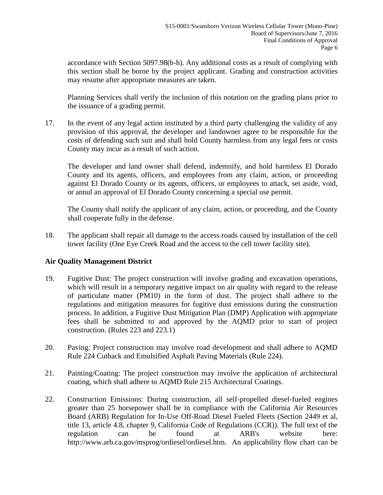accordance with Section 5097.98(b-h). Any additional costs as a result of complying with this section shall be borne by the project applicant. Grading and construction activities may resume after appropriate measures are taken.

Planning Services shall verify the inclusion of this notation on the grading plans prior to the issuance of a grading permit.

17. In the event of any legal action instituted by a third party challenging the validity of any provision of this approval, the developer and landowner agree to be responsible for the costs of defending such suit and shall hold County harmless from any legal fees or costs County may incur as a result of such action.

The developer and land owner shall defend, indemnify, and hold harmless El Dorado County and its agents, officers, and employees from any claim, action, or proceeding against El Dorado County or its agents, officers, or employees to attack, set aside, void, or annul an approval of El Dorado County concerning a special use permit.

The County shall notify the applicant of any claim, action, or proceeding, and the County shall cooperate fully in the defense.

18. The applicant shall repair all damage to the access roads caused by installation of the cell tower facility (One Eye Creek Road and the access to the cell tower facility site).

# **Air Quality Management District**

- 19. Fugitive Dust: The project construction will involve grading and excavation operations, which will result in a temporary negative impact on air quality with regard to the release of particulate matter (PM10) in the form of dust. The project shall adhere to the regulations and mitigation measures for fugitive dust emissions during the construction process. In addition, a Fugitive Dust Mitigation Plan (DMP) Application with appropriate fees shall be submitted to and approved by the AQMD prior to start of project construction. (Rules 223 and 223.1)
- 20. Paving: Project construction may involve road development and shall adhere to AQMD Rule 224 Cutback and Emulsified Asphalt Paving Materials (Rule 224).
- 21. Painting/Coating: The project construction may involve the application of architectural coating, which shall adhere to AQMD Rule 215 Architectural Coatings.
- 22. Construction Emissions: During construction, all self-propelled diesel-fueled engines greater than 25 horsepower shall be in compliance with the California Air Resources Board (ARB) Regulation for In-Use Off-Road Diesel Fueled Fleets (Section 2449 et al, title 13, article 4.8, chapter 9, California Code of Regulations (CCR)). The full text of the regulation can be found at ARB's website here: http://www.arb.ca.gov/msprog/ordiesel/ordiesel.htm. An applicability flow chart can be